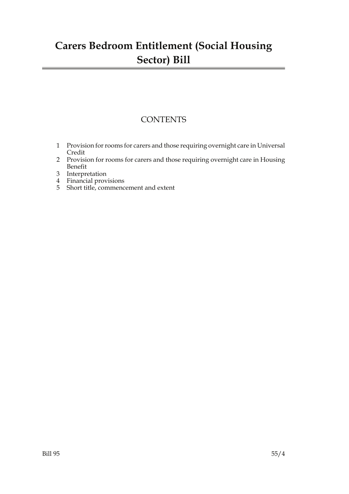### **Carers Bedroom Entitlement (Social Housing Sector) Bill**

### **CONTENTS**

- 1 Provision for rooms for carers and those requiring overnight care in Universal Credit
- 2 Provision for rooms for carers and those requiring overnight care in Housing Benefit
- 3 Interpretation
- 4 Financial provisions
- 5 Short title, commencement and extent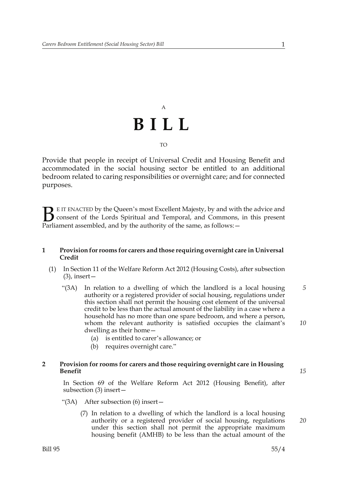## A **BILL** TO

Provide that people in receipt of Universal Credit and Housing Benefit and accommodated in the social housing sector be entitled to an additional bedroom related to caring responsibilities or overnight care; and for connected purposes.

E IT ENACTED by the Queen's most Excellent Majesty, by and with the advice and consent of the Lords Spiritual and Temporal, and Commons, in this present **B** E IT ENACTED by the Queen's most Excellent Majesty, by and with consent of the Lords Spiritual and Temporal, and Commons, Parliament assembled, and by the authority of the same, as follows:  $-$ 

#### **1 Provision for rooms for carers and those requiring overnight care in Universal Credit**

- (1) In Section 11 of the Welfare Reform Act 2012 (Housing Costs), after subsection  $(3)$ , insert —
	- "(3A) In relation to a dwelling of which the landlord is a local housing authority or a registered provider of social housing, regulations under this section shall not permit the housing cost element of the universal credit to be less than the actual amount of the liability in a case where a household has no more than one spare bedroom, and where a person, whom the relevant authority is satisfied occupies the claimant's dwelling as their home— *5 10*
		- (a) is entitled to carer's allowance; or
		- (b) requires overnight care."

#### **2 Provision for rooms for carers and those requiring overnight care in Housing Benefit**

In Section 69 of the Welfare Reform Act 2012 (Housing Benefit), after subsection (3) insert—

- "(3A) After subsection (6) insert—
	- (7) In relation to a dwelling of which the landlord is a local housing authority or a registered provider of social housing, regulations under this section shall not permit the appropriate maximum housing benefit (AMHB) to be less than the actual amount of the

*15*

*20*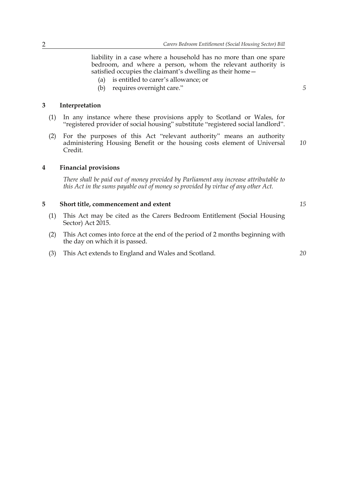liability in a case where a household has no more than one spare bedroom, and where a person, whom the relevant authority is satisfied occupies the claimant's dwelling as their home—

- (a) is entitled to carer's allowance; or
- (b) requires overnight care."

#### **3 Interpretation**

- (1) In any instance where these provisions apply to Scotland or Wales, for "registered provider of social housing" substitute "registered social landlord".
- (2) For the purposes of this Act "relevant authority" means an authority administering Housing Benefit or the housing costs element of Universal Credit. *10*

#### **4 Financial provisions**

*There shall be paid out of money provided by Parliament any increase attributable to this Act in the sums payable out of money so provided by virtue of any other Act.*

#### **5 Short title, commencement and extent**

- (1) This Act may be cited as the Carers Bedroom Entitlement (Social Housing Sector) Act 2015.
- (2) This Act comes into force at the end of the period of 2 months beginning with the day on which it is passed.
- (3) This Act extends to England and Wales and Scotland.

*20*

*15*

*5*